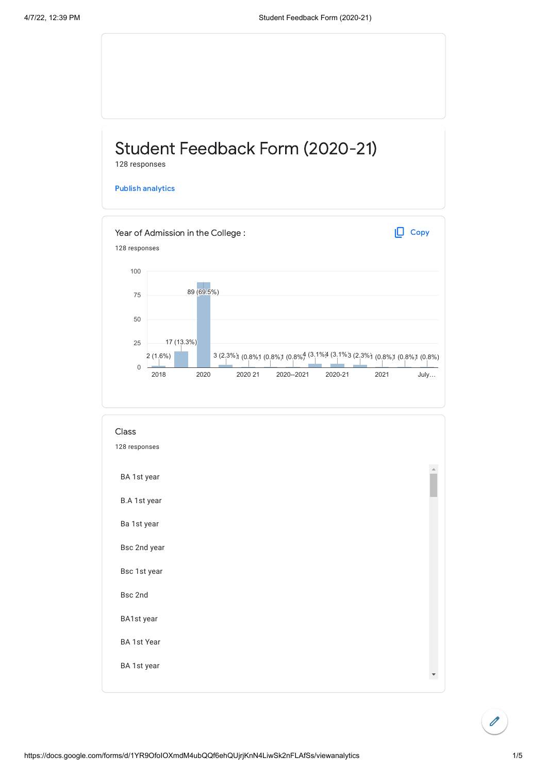## Student Feedback Form (2020-21) 128 responses

Publish [analytics](https://docs.google.com/forms/d/1YR9OfoIOXmdM4ubQQf6ehQUjrjKnN4LiwSk2nFLAfSs/edit?usp=redirect_edit_m2#start=publishanalytics)





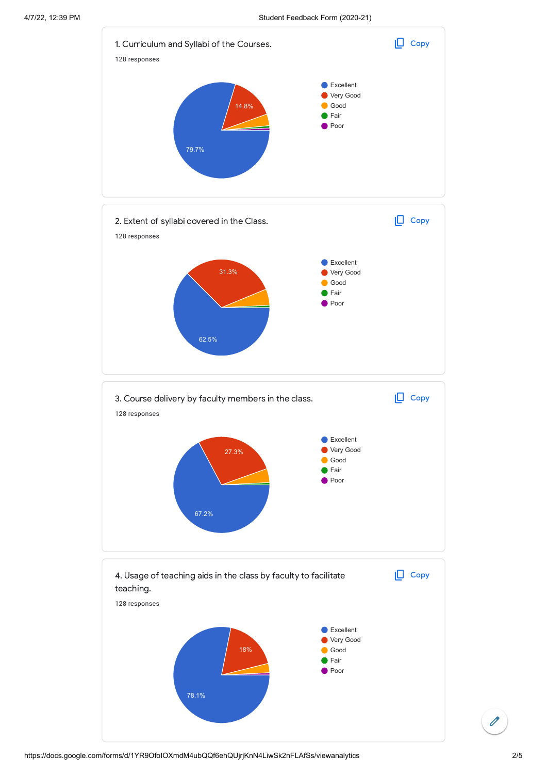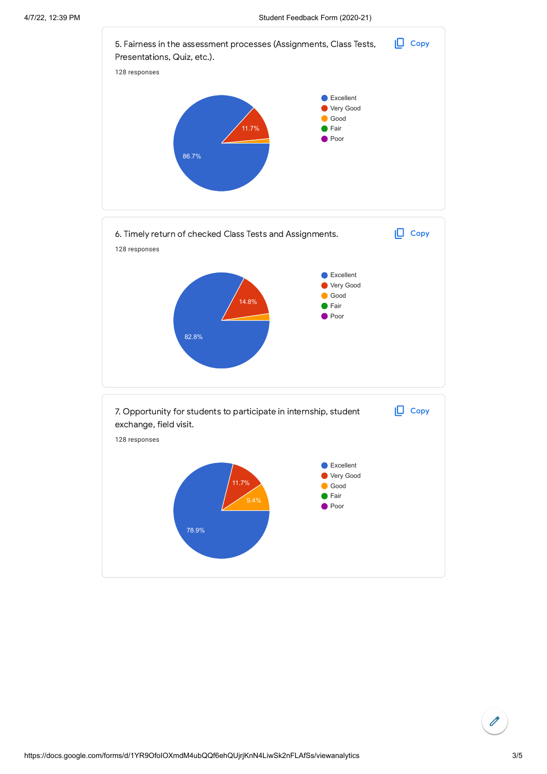

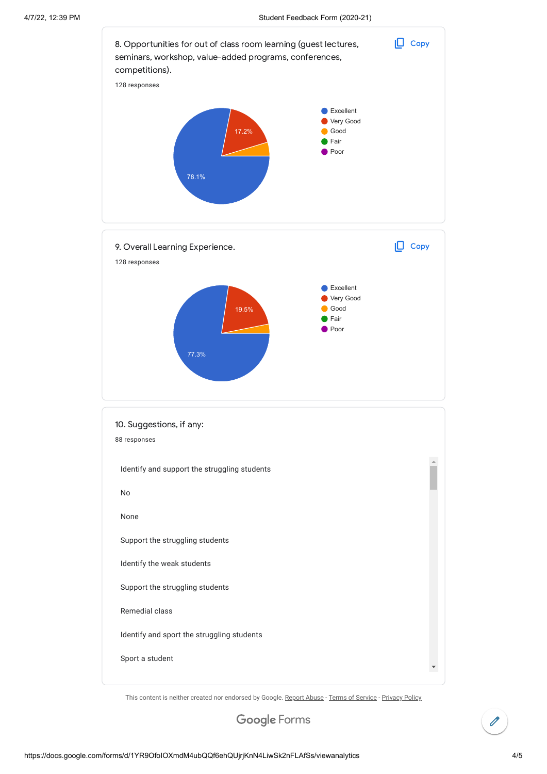

This content is neither created nor endorsed by Google. [Report Abuse](https://docs.google.com/forms/d/1YR9OfoIOXmdM4ubQQf6ehQUjrjKnN4LiwSk2nFLAfSs/reportabuse) - [Terms of Service](https://policies.google.com/terms) - [Privacy Policy](https://policies.google.com/privacy)

Google [Forms](https://www.google.com/forms/about/?utm_source=product&utm_medium=forms_logo&utm_campaign=forms)